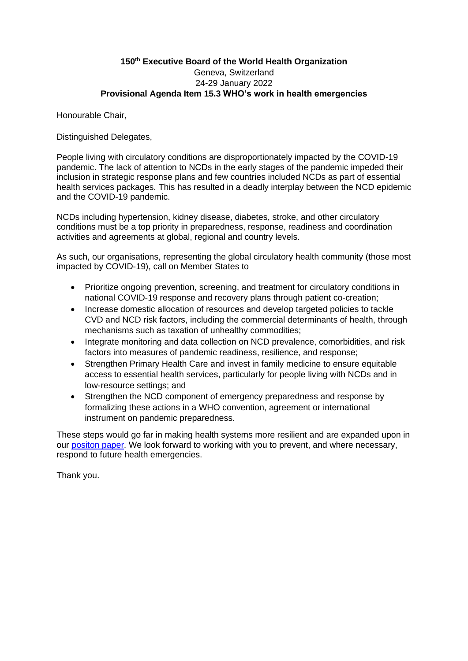## **150th Executive Board of the World Health Organization** Geneva, Switzerland 24-29 January 2022 **Provisional Agenda Item 15.3 WHO's work in health emergencies**

Honourable Chair,

Distinguished Delegates,

People living with circulatory conditions are disproportionately impacted by the COVID-19 pandemic. The lack of attention to NCDs in the early stages of the pandemic impeded their inclusion in strategic response plans and few countries included NCDs as part of essential health services packages. This has resulted in a deadly interplay between the NCD epidemic and the COVID-19 pandemic.

NCDs including hypertension, kidney disease, diabetes, stroke, and other circulatory conditions must be a top priority in preparedness, response, readiness and coordination activities and agreements at global, regional and country levels.

As such, our organisations, representing the global circulatory health community (those most impacted by COVID-19), call on Member States to

- Prioritize ongoing prevention, screening, and treatment for circulatory conditions in national COVID-19 response and recovery plans through patient co-creation;
- Increase domestic allocation of resources and develop targeted policies to tackle CVD and NCD risk factors, including the commercial determinants of health, through mechanisms such as taxation of unhealthy commodities;
- Integrate monitoring and data collection on NCD prevalence, comorbidities, and risk factors into measures of pandemic readiness, resilience, and response;
- Strengthen Primary Health Care and invest in family medicine to ensure equitable access to essential health services, particularly for people living with NCDs and in low-resource settings; and
- Strengthen the NCD component of emergency preparedness and response by formalizing these actions in a WHO convention, agreement or international instrument on pandemic preparedness.

These steps would go far in making health systems more resilient and are expanded upon in our [positon paper.](https://world-heart-federation.org/news/global-coalition-for-circulatory-health-calls-for-major-investment-in-circulatory-health-to-help-prevent-the-next-pandemic/) We look forward to working with you to prevent, and where necessary, respond to future health emergencies.

Thank you.